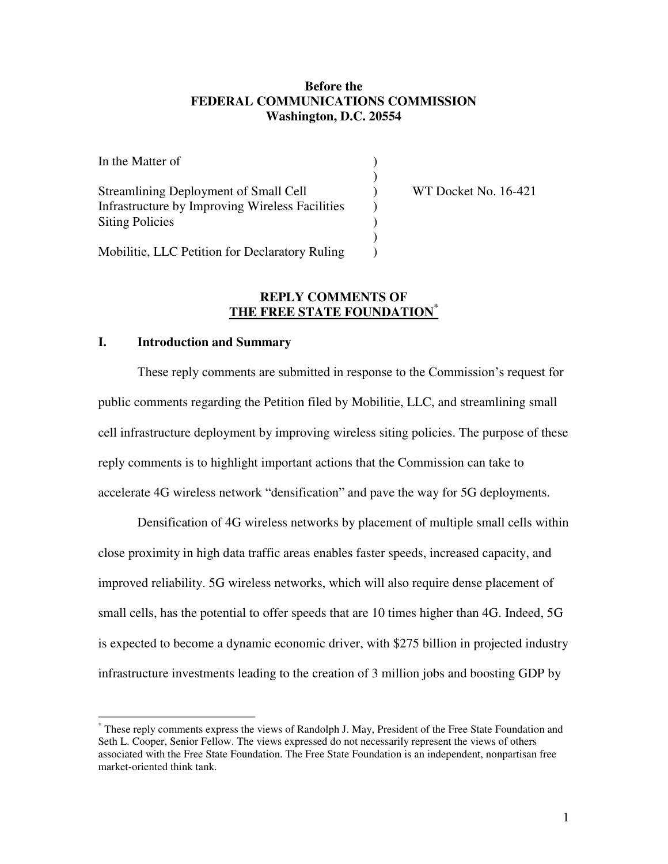### **Before the FEDERAL COMMUNICATIONS COMMISSION Washington, D.C. 20554**

| In the Matter of                                |                      |
|-------------------------------------------------|----------------------|
|                                                 |                      |
| Streamlining Deployment of Small Cell           | WT Docket No. 16-421 |
| Infrastructure by Improving Wireless Facilities |                      |
| <b>Siting Policies</b>                          |                      |
|                                                 |                      |
| Mobilitie, LLC Petition for Declaratory Ruling  |                      |

#### **REPLY COMMENTS OF THE FREE STATE FOUNDATION\***

# **I. Introduction and Summary**

 $\overline{\phantom{a}}$ 

These reply comments are submitted in response to the Commission's request for public comments regarding the Petition filed by Mobilitie, LLC, and streamlining small cell infrastructure deployment by improving wireless siting policies. The purpose of these reply comments is to highlight important actions that the Commission can take to accelerate 4G wireless network "densification" and pave the way for 5G deployments.

 Densification of 4G wireless networks by placement of multiple small cells within close proximity in high data traffic areas enables faster speeds, increased capacity, and improved reliability. 5G wireless networks, which will also require dense placement of small cells, has the potential to offer speeds that are 10 times higher than 4G. Indeed, 5G is expected to become a dynamic economic driver, with \$275 billion in projected industry infrastructure investments leading to the creation of 3 million jobs and boosting GDP by

<sup>\*</sup> These reply comments express the views of Randolph J. May, President of the Free State Foundation and Seth L. Cooper, Senior Fellow. The views expressed do not necessarily represent the views of others associated with the Free State Foundation. The Free State Foundation is an independent, nonpartisan free market-oriented think tank.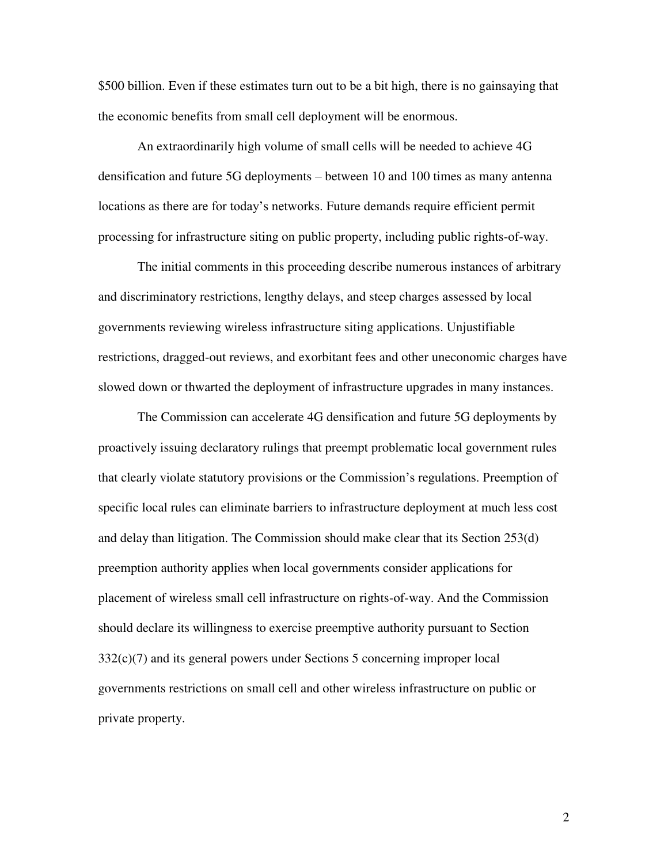\$500 billion. Even if these estimates turn out to be a bit high, there is no gainsaying that the economic benefits from small cell deployment will be enormous.

An extraordinarily high volume of small cells will be needed to achieve 4G densification and future 5G deployments – between 10 and 100 times as many antenna locations as there are for today's networks. Future demands require efficient permit processing for infrastructure siting on public property, including public rights-of-way.

The initial comments in this proceeding describe numerous instances of arbitrary and discriminatory restrictions, lengthy delays, and steep charges assessed by local governments reviewing wireless infrastructure siting applications. Unjustifiable restrictions, dragged-out reviews, and exorbitant fees and other uneconomic charges have slowed down or thwarted the deployment of infrastructure upgrades in many instances.

The Commission can accelerate 4G densification and future 5G deployments by proactively issuing declaratory rulings that preempt problematic local government rules that clearly violate statutory provisions or the Commission's regulations. Preemption of specific local rules can eliminate barriers to infrastructure deployment at much less cost and delay than litigation. The Commission should make clear that its Section 253(d) preemption authority applies when local governments consider applications for placement of wireless small cell infrastructure on rights-of-way. And the Commission should declare its willingness to exercise preemptive authority pursuant to Section 332(c)(7) and its general powers under Sections 5 concerning improper local governments restrictions on small cell and other wireless infrastructure on public or private property.

2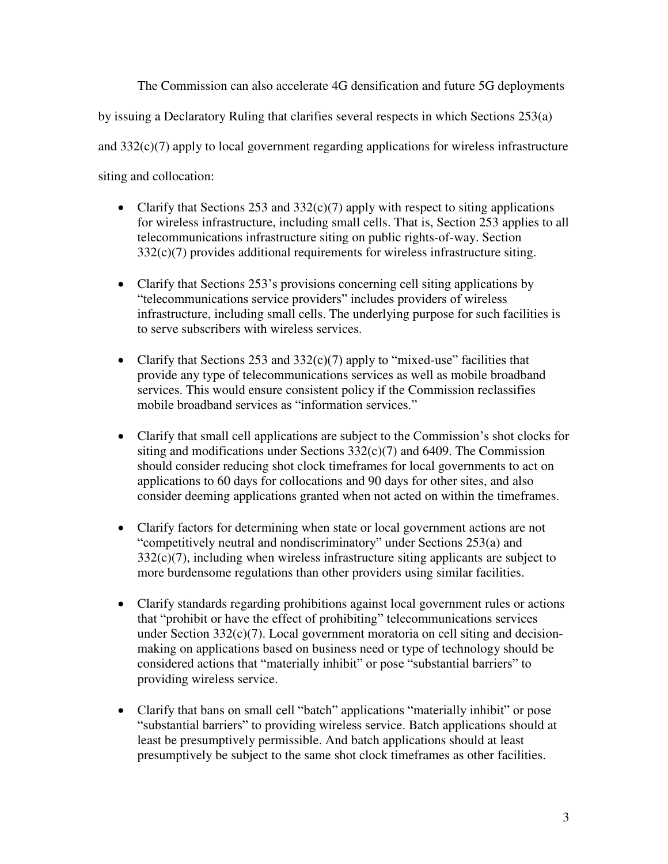The Commission can also accelerate 4G densification and future 5G deployments by issuing a Declaratory Ruling that clarifies several respects in which Sections 253(a) and  $332(c)(7)$  apply to local government regarding applications for wireless infrastructure siting and collocation:

- Clarify that Sections 253 and 332(c)(7) apply with respect to siting applications for wireless infrastructure, including small cells. That is, Section 253 applies to all telecommunications infrastructure siting on public rights-of-way. Section 332(c)(7) provides additional requirements for wireless infrastructure siting.
- Clarify that Sections  $253$ 's provisions concerning cell siting applications by "telecommunications service providers" includes providers of wireless infrastructure, including small cells. The underlying purpose for such facilities is to serve subscribers with wireless services.
- Clarify that Sections 253 and  $332(c)(7)$  apply to "mixed-use" facilities that provide any type of telecommunications services as well as mobile broadband services. This would ensure consistent policy if the Commission reclassifies mobile broadband services as "information services."
- Clarify that small cell applications are subject to the Commission's shot clocks for siting and modifications under Sections  $332(c)(7)$  and 6409. The Commission should consider reducing shot clock timeframes for local governments to act on applications to 60 days for collocations and 90 days for other sites, and also consider deeming applications granted when not acted on within the timeframes.
- Clarify factors for determining when state or local government actions are not "competitively neutral and nondiscriminatory" under Sections 253(a) and  $332(c)(7)$ , including when wireless infrastructure siting applicants are subject to more burdensome regulations than other providers using similar facilities.
- Clarify standards regarding prohibitions against local government rules or actions that "prohibit or have the effect of prohibiting" telecommunications services under Section  $332(c)(7)$ . Local government moratoria on cell siting and decisionmaking on applications based on business need or type of technology should be considered actions that "materially inhibit" or pose "substantial barriers" to providing wireless service.
- Clarify that bans on small cell "batch" applications "materially inhibit" or pose "substantial barriers" to providing wireless service. Batch applications should at least be presumptively permissible. And batch applications should at least presumptively be subject to the same shot clock timeframes as other facilities.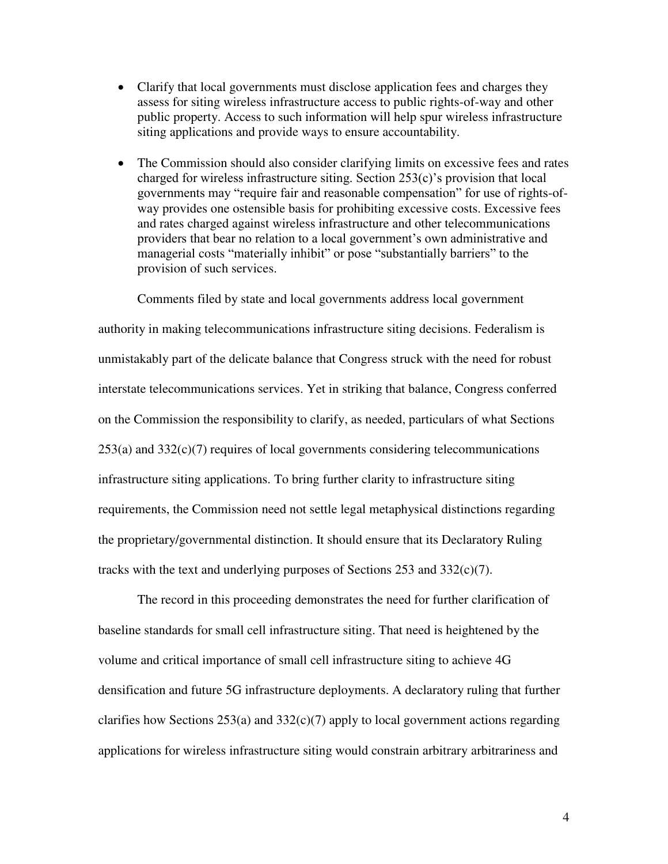- Clarify that local governments must disclose application fees and charges they assess for siting wireless infrastructure access to public rights-of-way and other public property. Access to such information will help spur wireless infrastructure siting applications and provide ways to ensure accountability.
- The Commission should also consider clarifying limits on excessive fees and rates charged for wireless infrastructure siting. Section 253(c)'s provision that local governments may "require fair and reasonable compensation" for use of rights-ofway provides one ostensible basis for prohibiting excessive costs. Excessive fees and rates charged against wireless infrastructure and other telecommunications providers that bear no relation to a local government's own administrative and managerial costs "materially inhibit" or pose "substantially barriers" to the provision of such services.

Comments filed by state and local governments address local government authority in making telecommunications infrastructure siting decisions. Federalism is unmistakably part of the delicate balance that Congress struck with the need for robust interstate telecommunications services. Yet in striking that balance, Congress conferred on the Commission the responsibility to clarify, as needed, particulars of what Sections  $253(a)$  and  $332(c)(7)$  requires of local governments considering telecommunications infrastructure siting applications. To bring further clarity to infrastructure siting requirements, the Commission need not settle legal metaphysical distinctions regarding the proprietary/governmental distinction. It should ensure that its Declaratory Ruling tracks with the text and underlying purposes of Sections 253 and 332(c)(7).

The record in this proceeding demonstrates the need for further clarification of baseline standards for small cell infrastructure siting. That need is heightened by the volume and critical importance of small cell infrastructure siting to achieve 4G densification and future 5G infrastructure deployments. A declaratory ruling that further clarifies how Sections  $253(a)$  and  $332(c)(7)$  apply to local government actions regarding applications for wireless infrastructure siting would constrain arbitrary arbitrariness and

4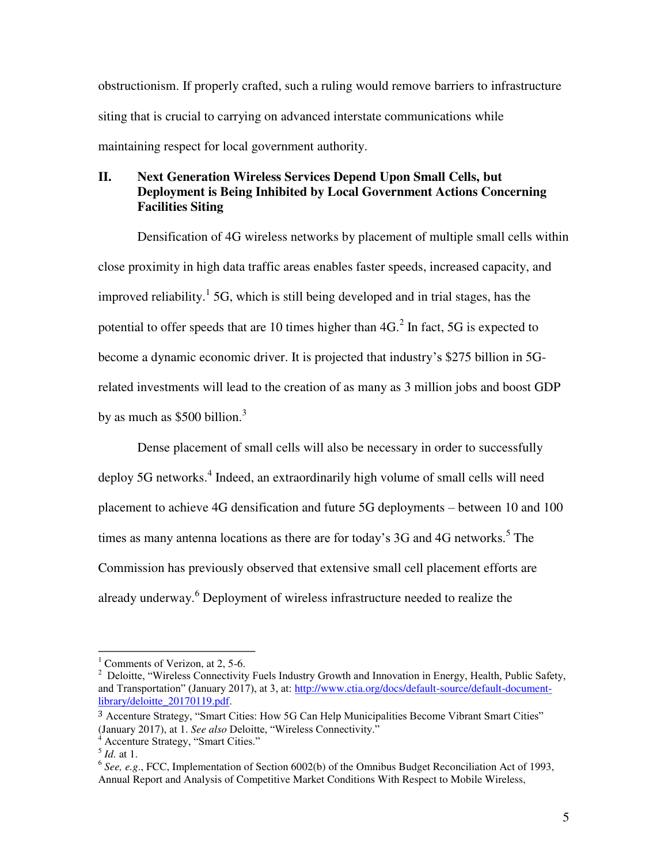obstructionism. If properly crafted, such a ruling would remove barriers to infrastructure siting that is crucial to carrying on advanced interstate communications while maintaining respect for local government authority.

# **II. Next Generation Wireless Services Depend Upon Small Cells, but Deployment is Being Inhibited by Local Government Actions Concerning Facilities Siting**

 Densification of 4G wireless networks by placement of multiple small cells within close proximity in high data traffic areas enables faster speeds, increased capacity, and improved reliability.<sup>1</sup> 5G, which is still being developed and in trial stages, has the potential to offer speeds that are 10 times higher than  $4G<sup>2</sup>$  In fact, 5G is expected to become a dynamic economic driver. It is projected that industry's \$275 billion in 5Grelated investments will lead to the creation of as many as 3 million jobs and boost GDP by as much as  $$500$  billion.<sup>3</sup>

Dense placement of small cells will also be necessary in order to successfully deploy 5G networks.<sup>4</sup> Indeed, an extraordinarily high volume of small cells will need placement to achieve 4G densification and future 5G deployments – between 10 and 100 times as many antenna locations as there are for today's  $3G$  and  $4G$  networks.<sup>5</sup> The Commission has previously observed that extensive small cell placement efforts are already underway.<sup>6</sup> Deployment of wireless infrastructure needed to realize the

<sup>&</sup>lt;sup>1</sup> Comments of Verizon, at 2, 5-6.<br><sup>2</sup> Deloitte "Wireless Connectivity"

<sup>&</sup>lt;sup>2</sup> Deloitte, "Wireless Connectivity Fuels Industry Growth and Innovation in Energy, Health, Public Safety, and Transportation" (January 2017), at 3, at: [http://www.ctia.org/docs/default-source/default-document](http://www.ctia.org/docs/default-source/default-document-library/deloitte_20170119.pdf)[library/deloitte\\_20170119.pdf.](http://www.ctia.org/docs/default-source/default-document-library/deloitte_20170119.pdf)

<sup>&</sup>lt;sup>3</sup> Accenture Strategy, "Smart Cities: How 5G Can Help Municipalities Become Vibrant Smart Cities" (January 2017), at 1. *See also* Deloitte, "Wireless Connectivity." <sup>4</sup> Accenture Strategy, "Smart Cities."

 $\int dA$ . at 1.

<sup>6</sup> *See, e.g*., FCC, Implementation of Section 6002(b) of the Omnibus Budget Reconciliation Act of 1993, Annual Report and Analysis of Competitive Market Conditions With Respect to Mobile Wireless,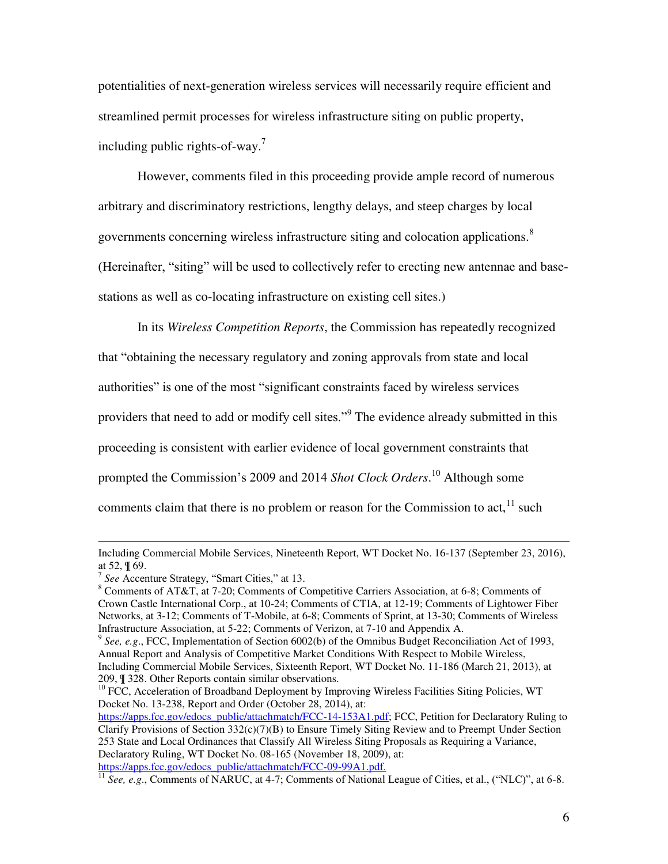potentialities of next-generation wireless services will necessarily require efficient and streamlined permit processes for wireless infrastructure siting on public property, including public rights-of-way.<sup>7</sup>

However, comments filed in this proceeding provide ample record of numerous arbitrary and discriminatory restrictions, lengthy delays, and steep charges by local governments concerning wireless infrastructure siting and colocation applications.<sup>8</sup> (Hereinafter, "siting" will be used to collectively refer to erecting new antennae and basestations as well as co-locating infrastructure on existing cell sites.)

In its *Wireless Competition Reports*, the Commission has repeatedly recognized that "obtaining the necessary regulatory and zoning approvals from state and local authorities" is one of the most "significant constraints faced by wireless services providers that need to add or modify cell sites."<sup>9</sup> The evidence already submitted in this proceeding is consistent with earlier evidence of local government constraints that prompted the Commission's 2009 and 2014 *Shot Clock Orders*. 10 Although some comments claim that there is no problem or reason for the Commission to  $act<sub>11</sub><sup>11</sup> such$ 

Including Commercial Mobile Services, Nineteenth Report, WT Docket No. 16-137 (September 23, 2016), at 52, ¶ 69.

<sup>7</sup> *See* Accenture Strategy, "Smart Cities," at 13. 8

Comments of AT&T, at 7-20; Comments of Competitive Carriers Association, at 6-8; Comments of Crown Castle International Corp., at 10-24; Comments of CTIA, at 12-19; Comments of Lightower Fiber Networks, at 3-12; Comments of T-Mobile, at 6-8; Comments of Sprint, at 13-30; Comments of Wireless Infrastructure Association, at 5-22; Comments of Verizon, at 7-10 and Appendix A.

<sup>9</sup> *See, e.g*., FCC, Implementation of Section 6002(b) of the Omnibus Budget Reconciliation Act of 1993, Annual Report and Analysis of Competitive Market Conditions With Respect to Mobile Wireless, Including Commercial Mobile Services, Sixteenth Report, WT Docket No. 11-186 (March 21, 2013), at 209,  $\parallel$  328. Other Reports contain similar observations.

 $10^{10}$  FCC, Acceleration of Broadband Deployment by Improving Wireless Facilities Siting Policies, WT Docket No. 13-238, Report and Order (October 28, 2014), at:

[https://apps.fcc.gov/edocs\\_public/attachmatch/FCC-14-153A1.pdf;](https://apps.fcc.gov/edocs_public/attachmatch/FCC-14-153A1.pdf) FCC, Petition for Declaratory Ruling to Clarify Provisions of Section  $332(c)(7)(B)$  to Ensure Timely Siting Review and to Preempt Under Section 253 State and Local Ordinances that Classify All Wireless Siting Proposals as Requiring a Variance, Declaratory Ruling, WT Docket No. 08-165 (November 18, 2009), at: [https://apps.fcc.gov/edocs\\_public/attachmatch/FCC-09-99A1.pdf.](https://apps.fcc.gov/edocs_public/attachmatch/FCC-09-99A1.pdf) https://apps.fcc.gov/edocs\_public/attachmatch/FCC-09-99A1.pdf. 11 *See, e.g.*, Comments of NARUC, at 4-7; Comments of National League of Cities, et al., ("NLC)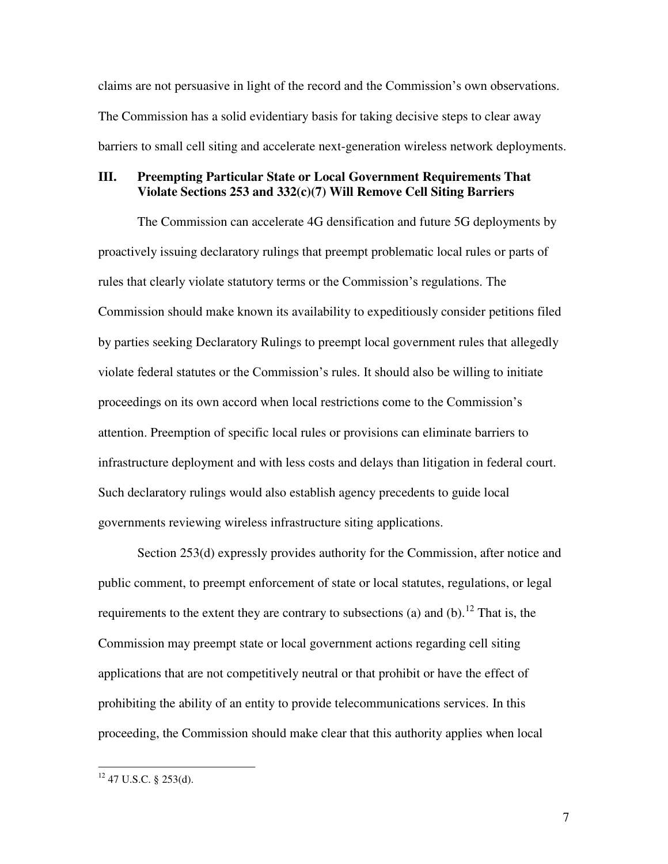claims are not persuasive in light of the record and the Commission's own observations. The Commission has a solid evidentiary basis for taking decisive steps to clear away barriers to small cell siting and accelerate next-generation wireless network deployments.

### **III. Preempting Particular State or Local Government Requirements That Violate Sections 253 and 332(c)(7) Will Remove Cell Siting Barriers**

The Commission can accelerate 4G densification and future 5G deployments by proactively issuing declaratory rulings that preempt problematic local rules or parts of rules that clearly violate statutory terms or the Commission's regulations. The Commission should make known its availability to expeditiously consider petitions filed by parties seeking Declaratory Rulings to preempt local government rules that allegedly violate federal statutes or the Commission's rules. It should also be willing to initiate proceedings on its own accord when local restrictions come to the Commission's attention. Preemption of specific local rules or provisions can eliminate barriers to infrastructure deployment and with less costs and delays than litigation in federal court. Such declaratory rulings would also establish agency precedents to guide local governments reviewing wireless infrastructure siting applications.

Section 253(d) expressly provides authority for the Commission, after notice and public comment, to preempt enforcement of state or local statutes, regulations, or legal requirements to the extent they are contrary to subsections (a) and (b).<sup>12</sup> That is, the Commission may preempt state or local government actions regarding cell siting applications that are not competitively neutral or that prohibit or have the effect of prohibiting the ability of an entity to provide telecommunications services. In this proceeding, the Commission should make clear that this authority applies when local

 $12$  47 U.S.C. § 253(d).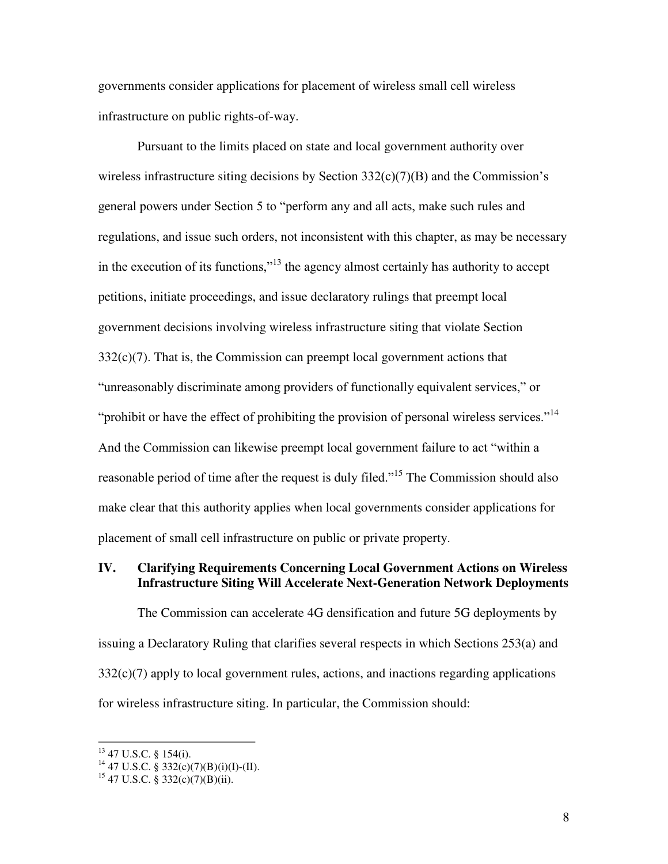governments consider applications for placement of wireless small cell wireless infrastructure on public rights-of-way.

Pursuant to the limits placed on state and local government authority over wireless infrastructure siting decisions by Section  $332(c)(7)(B)$  and the Commission's general powers under Section 5 to "perform any and all acts, make such rules and regulations, and issue such orders, not inconsistent with this chapter, as may be necessary in the execution of its functions,"13 the agency almost certainly has authority to accept petitions, initiate proceedings, and issue declaratory rulings that preempt local government decisions involving wireless infrastructure siting that violate Section  $332(c)(7)$ . That is, the Commission can preempt local government actions that "unreasonably discriminate among providers of functionally equivalent services," or "prohibit or have the effect of prohibiting the provision of personal wireless services."<sup>14</sup> And the Commission can likewise preempt local government failure to act "within a reasonable period of time after the request is duly filed."<sup>15</sup> The Commission should also make clear that this authority applies when local governments consider applications for placement of small cell infrastructure on public or private property.

#### **IV. Clarifying Requirements Concerning Local Government Actions on Wireless Infrastructure Siting Will Accelerate Next-Generation Network Deployments**

The Commission can accelerate 4G densification and future 5G deployments by issuing a Declaratory Ruling that clarifies several respects in which Sections 253(a) and  $332(c)(7)$  apply to local government rules, actions, and inactions regarding applications for wireless infrastructure siting. In particular, the Commission should:

 $13$  47 U.S.C. § 154(i).

<sup>&</sup>lt;sup>14</sup> 47 U.S.C. § 332(c)(7)(B)(i)(I)-(II).

 $15$  47 U.S.C. § 332(c)(7)(B)(ii).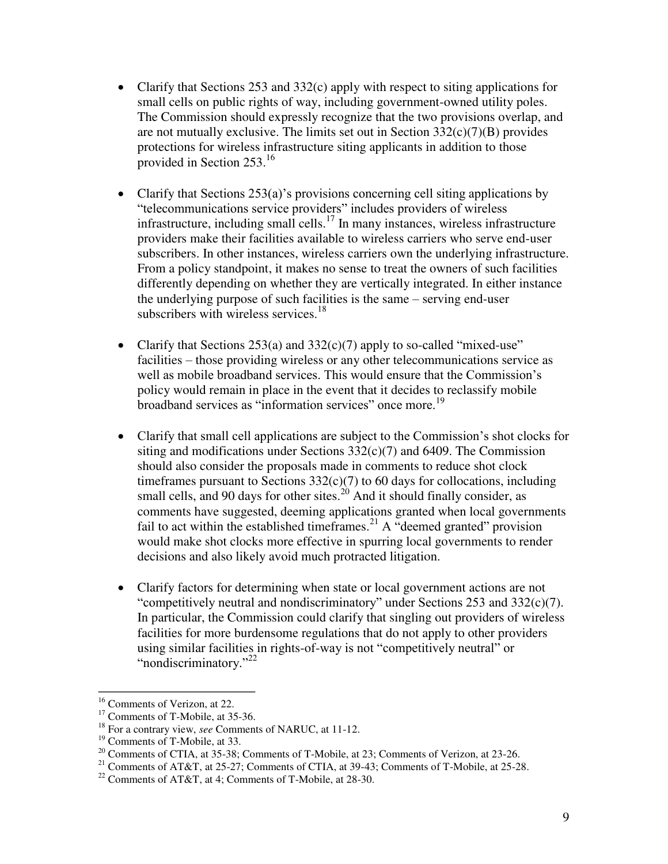- Clarify that Sections 253 and 332(c) apply with respect to siting applications for small cells on public rights of way, including government-owned utility poles. The Commission should expressly recognize that the two provisions overlap, and are not mutually exclusive. The limits set out in Section  $332(c)(7)(B)$  provides protections for wireless infrastructure siting applicants in addition to those provided in Section 253.<sup>16</sup>
- Clarify that Sections  $253(a)$ 's provisions concerning cell siting applications by "telecommunications service providers" includes providers of wireless infrastructure, including small cells.<sup>17</sup> In many instances, wireless infrastructure providers make their facilities available to wireless carriers who serve end-user subscribers. In other instances, wireless carriers own the underlying infrastructure. From a policy standpoint, it makes no sense to treat the owners of such facilities differently depending on whether they are vertically integrated. In either instance the underlying purpose of such facilities is the same – serving end-user subscribers with wireless services. $18$
- Clarify that Sections  $253(a)$  and  $332(c)(7)$  apply to so-called "mixed-use" facilities – those providing wireless or any other telecommunications service as well as mobile broadband services. This would ensure that the Commission's policy would remain in place in the event that it decides to reclassify mobile broadband services as "information services" once more.<sup>19</sup>
- Clarify that small cell applications are subject to the Commission's shot clocks for siting and modifications under Sections  $332(c)(7)$  and 6409. The Commission should also consider the proposals made in comments to reduce shot clock timeframes pursuant to Sections  $332(c)(7)$  to 60 days for collocations, including small cells, and 90 days for other sites.<sup>20</sup> And it should finally consider, as comments have suggested, deeming applications granted when local governments fail to act within the established timeframes.<sup>21</sup> A "deemed granted" provision would make shot clocks more effective in spurring local governments to render decisions and also likely avoid much protracted litigation.
- Clarify factors for determining when state or local government actions are not "competitively neutral and nondiscriminatory" under Sections 253 and 332(c)(7). In particular, the Commission could clarify that singling out providers of wireless facilities for more burdensome regulations that do not apply to other providers using similar facilities in rights-of-way is not "competitively neutral" or "nondiscriminatory."<sup>22</sup>

<sup>&</sup>lt;sup>16</sup> Comments of Verizon, at 22.

<sup>&</sup>lt;sup>17</sup> Comments of T-Mobile, at 35-36. <sup>18</sup> For a contrary view, *see* Comments of NARUC, at 11-12.

<sup>&</sup>lt;sup>19</sup> Comments of T-Mobile, at 33.<br><sup>20</sup> Comments of CTIA, at 35-38; Comments of T-Mobile, at 23; Comments of Verizon, at 23-26.

<sup>&</sup>lt;sup>21</sup> Comments of AT&T, at 25-27; Comments of CTIA, at 39-43; Comments of T-Mobile, at 25-28.<br><sup>22</sup> Comments of AT&T, at 4; Comments of T-Mobile, at 28-30.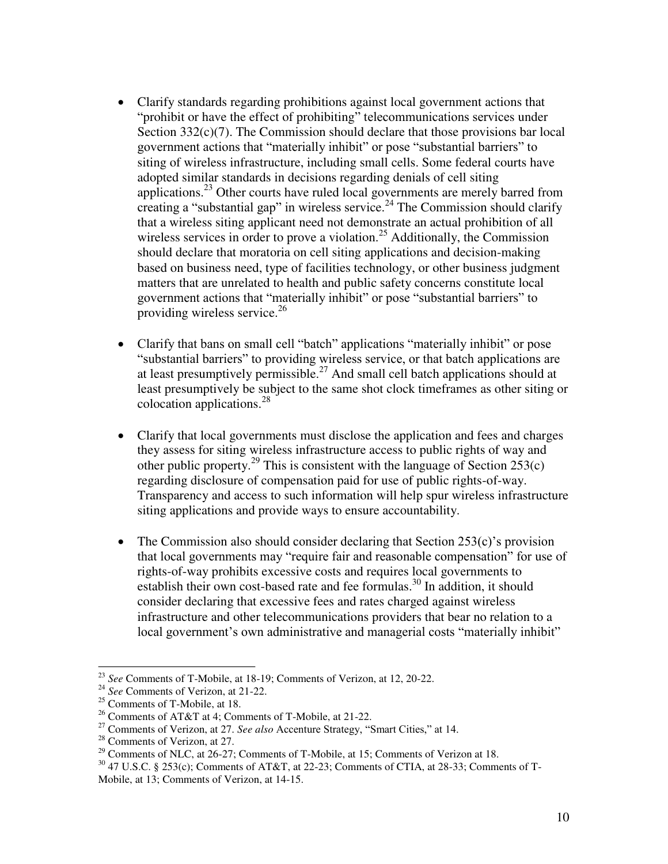- Clarify standards regarding prohibitions against local government actions that "prohibit or have the effect of prohibiting" telecommunications services under Section  $332(c)(7)$ . The Commission should declare that those provisions bar local government actions that "materially inhibit" or pose "substantial barriers" to siting of wireless infrastructure, including small cells. Some federal courts have adopted similar standards in decisions regarding denials of cell siting applications.<sup>23</sup> Other courts have ruled local governments are merely barred from creating a "substantial gap" in wireless service.<sup>24</sup> The Commission should clarify that a wireless siting applicant need not demonstrate an actual prohibition of all wireless services in order to prove a violation.<sup>25</sup> Additionally, the Commission should declare that moratoria on cell siting applications and decision-making based on business need, type of facilities technology, or other business judgment matters that are unrelated to health and public safety concerns constitute local government actions that "materially inhibit" or pose "substantial barriers" to providing wireless service. $2<sup>6</sup>$
- Clarify that bans on small cell "batch" applications "materially inhibit" or pose "substantial barriers" to providing wireless service, or that batch applications are at least presumptively permissible.<sup>27</sup> And small cell batch applications should at least presumptively be subject to the same shot clock timeframes as other siting or colocation applications. $^{28}$
- Clarify that local governments must disclose the application and fees and charges they assess for siting wireless infrastructure access to public rights of way and other public property.<sup>29</sup> This is consistent with the language of Section 253(c) regarding disclosure of compensation paid for use of public rights-of-way. Transparency and access to such information will help spur wireless infrastructure siting applications and provide ways to ensure accountability.
- The Commission also should consider declaring that Section 253(c)'s provision that local governments may "require fair and reasonable compensation" for use of rights-of-way prohibits excessive costs and requires local governments to establish their own cost-based rate and fee formulas.<sup>30</sup> In addition, it should consider declaring that excessive fees and rates charged against wireless infrastructure and other telecommunications providers that bear no relation to a local government's own administrative and managerial costs "materially inhibit"

<sup>&</sup>lt;sup>23</sup> *See* Comments of T-Mobile, at 18-19; Comments of Verizon, at 12, 20-22.<br><sup>24</sup> *See* Comments of Verizon, at 21-22.

<sup>25</sup> Comments of T-Mobile, at 18.

<sup>26</sup> Comments of AT&T at 4; Comments of T-Mobile, at 21-22.

<sup>&</sup>lt;sup>27</sup> Comments of Verizon, at 27. *See also* Accenture Strategy, "Smart Cities," at 14.<br><sup>28</sup> Comments of Verizon, at 27.<br><sup>29</sup> Comments of NLC, at 26-27; Comments of T-Mobile, at 15; Comments of Verizon at 18.

<sup>&</sup>lt;sup>30</sup> 47 U.S.C. § 253(c); Comments of AT&T, at 22-23; Comments of CTIA, at 28-33; Comments of T-Mobile, at 13; Comments of Verizon, at 14-15.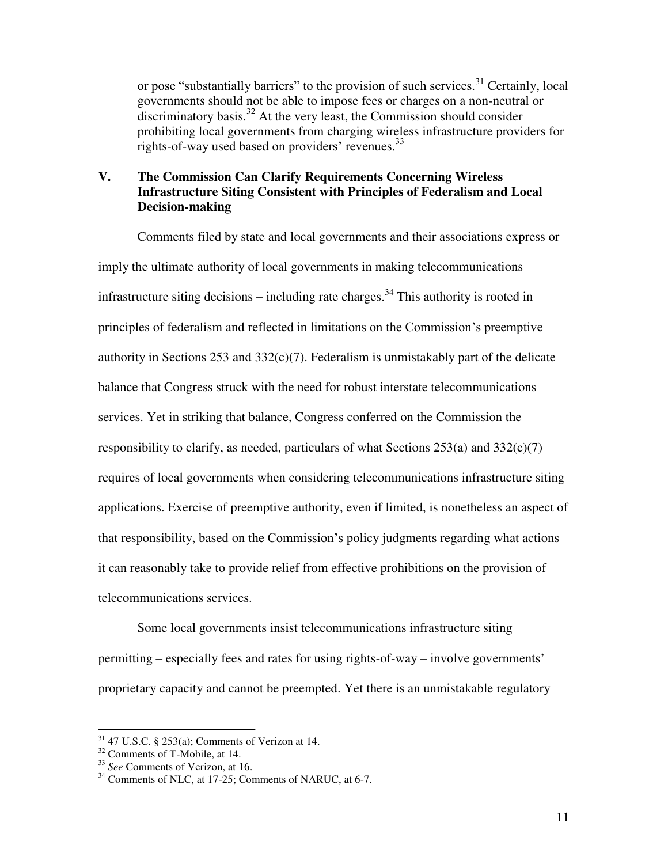or pose "substantially barriers" to the provision of such services.<sup>31</sup> Certainly, local governments should not be able to impose fees or charges on a non-neutral or  $\frac{d}{dx}$  discriminatory basis.<sup>32</sup> At the very least, the Commission should consider prohibiting local governments from charging wireless infrastructure providers for rights-of-way used based on providers' revenues.<sup>33</sup>

# **V. The Commission Can Clarify Requirements Concerning Wireless Infrastructure Siting Consistent with Principles of Federalism and Local Decision-making**

Comments filed by state and local governments and their associations express or imply the ultimate authority of local governments in making telecommunications infrastructure siting decisions – including rate charges.<sup>34</sup> This authority is rooted in principles of federalism and reflected in limitations on the Commission's preemptive authority in Sections 253 and  $332(c)(7)$ . Federalism is unmistakably part of the delicate balance that Congress struck with the need for robust interstate telecommunications services. Yet in striking that balance, Congress conferred on the Commission the responsibility to clarify, as needed, particulars of what Sections  $253(a)$  and  $332(c)(7)$ requires of local governments when considering telecommunications infrastructure siting applications. Exercise of preemptive authority, even if limited, is nonetheless an aspect of that responsibility, based on the Commission's policy judgments regarding what actions it can reasonably take to provide relief from effective prohibitions on the provision of telecommunications services.

Some local governments insist telecommunications infrastructure siting permitting – especially fees and rates for using rights-of-way – involve governments' proprietary capacity and cannot be preempted. Yet there is an unmistakable regulatory

<sup>&</sup>lt;sup>31</sup> 47 U.S.C. § 253(a); Comments of Verizon at 14.<br><sup>32</sup> Comments of T-Mobile, at 14.

<sup>&</sup>lt;sup>33</sup> *See* Comments of Verizon, at 16.<br><sup>34</sup> Comments of NLC, at 17-25; Comments of NARUC, at 6-7.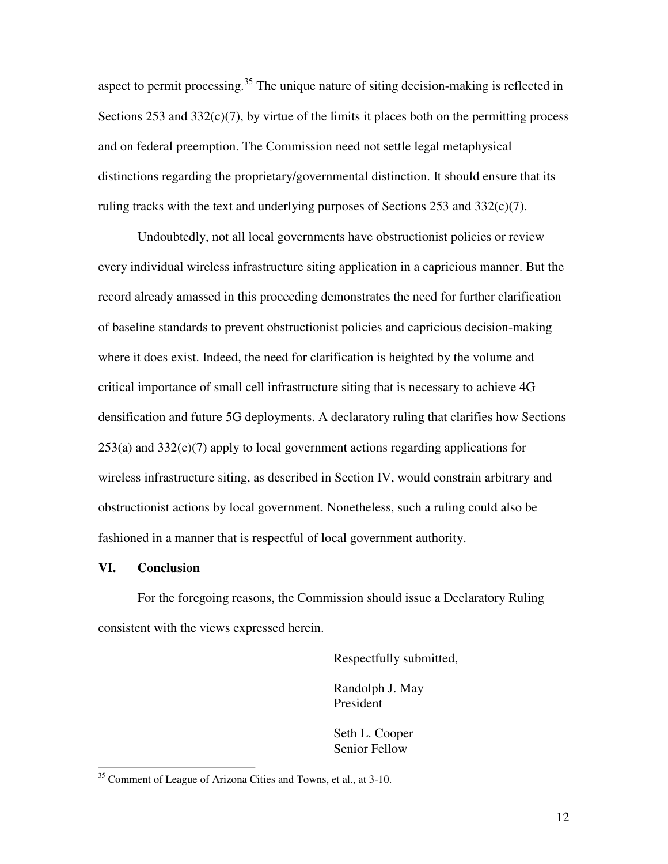aspect to permit processing.<sup>35</sup> The unique nature of siting decision-making is reflected in Sections  $253$  and  $332(c)(7)$ , by virtue of the limits it places both on the permitting process and on federal preemption. The Commission need not settle legal metaphysical distinctions regarding the proprietary/governmental distinction. It should ensure that its ruling tracks with the text and underlying purposes of Sections 253 and 332(c)(7).

Undoubtedly, not all local governments have obstructionist policies or review every individual wireless infrastructure siting application in a capricious manner. But the record already amassed in this proceeding demonstrates the need for further clarification of baseline standards to prevent obstructionist policies and capricious decision-making where it does exist. Indeed, the need for clarification is heighted by the volume and critical importance of small cell infrastructure siting that is necessary to achieve 4G densification and future 5G deployments. A declaratory ruling that clarifies how Sections  $253(a)$  and  $332(c)(7)$  apply to local government actions regarding applications for wireless infrastructure siting, as described in Section IV, would constrain arbitrary and obstructionist actions by local government. Nonetheless, such a ruling could also be fashioned in a manner that is respectful of local government authority.

#### **VI. Conclusion**

 $\overline{\phantom{a}}$ 

For the foregoing reasons, the Commission should issue a Declaratory Ruling consistent with the views expressed herein.

Respectfully submitted,

Randolph J. May President

Seth L. Cooper Senior Fellow

<sup>&</sup>lt;sup>35</sup> Comment of League of Arizona Cities and Towns, et al., at 3-10.